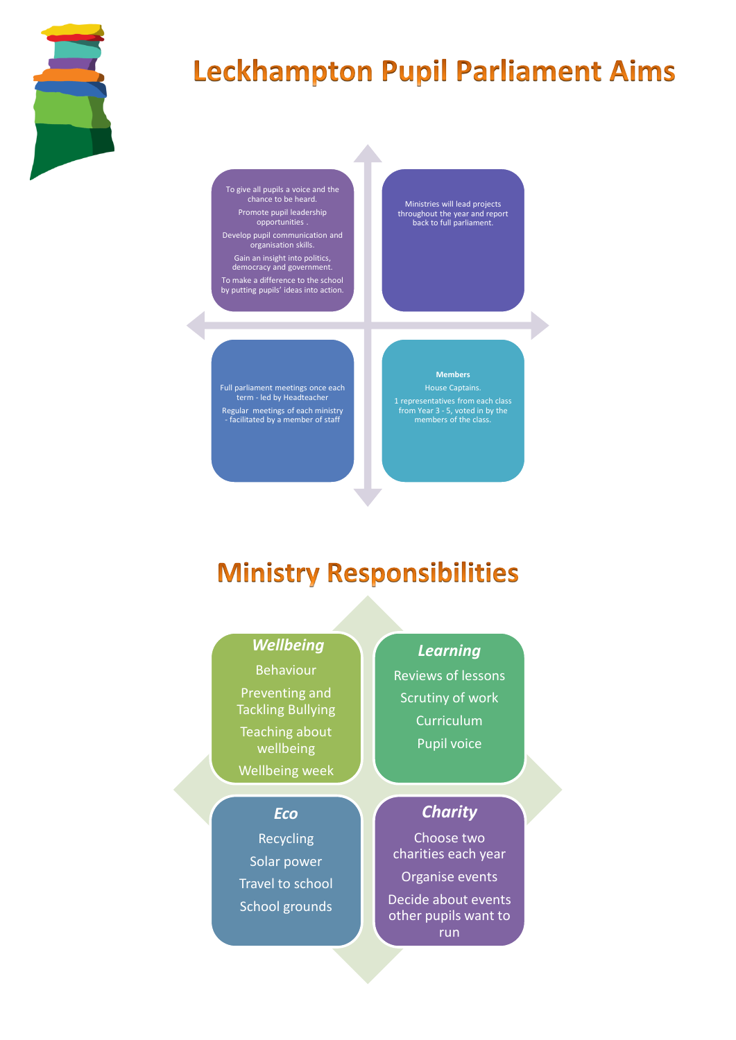

# **Leckhampton Pupil Parliament Aims**

To give all pupils a voice and the chance to be heard. Promote pupil leadership opportunities .

Develop pupil communication and organisation skills. Gain an insight into politics, democracy and government. To make a difference to the school by putting pupils' ideas into action.

Ministries will lead projects throughout the year and report back to full parliament.

Full parliament meetings once each term - led by Headteacher Regular meetings of each ministry - facilitated by a member of staff

#### **Members**

House Captains. 1 representatives from each class from Year 3 - 5, voted in by the members of the class.

### **Ministry Responsibilities**

### *Wellbeing*

Behaviour Preventing and Tackling Bullying

Teaching about wellbeing

Wellbeing week

### *Eco*

Recycling Solar power Travel to school School grounds Reviews of lessons Scrutiny of work Curriculum

*Learning*

Pupil voice

### *Charity*

Choose two charities each year Organise events Decide about events other pupils want to run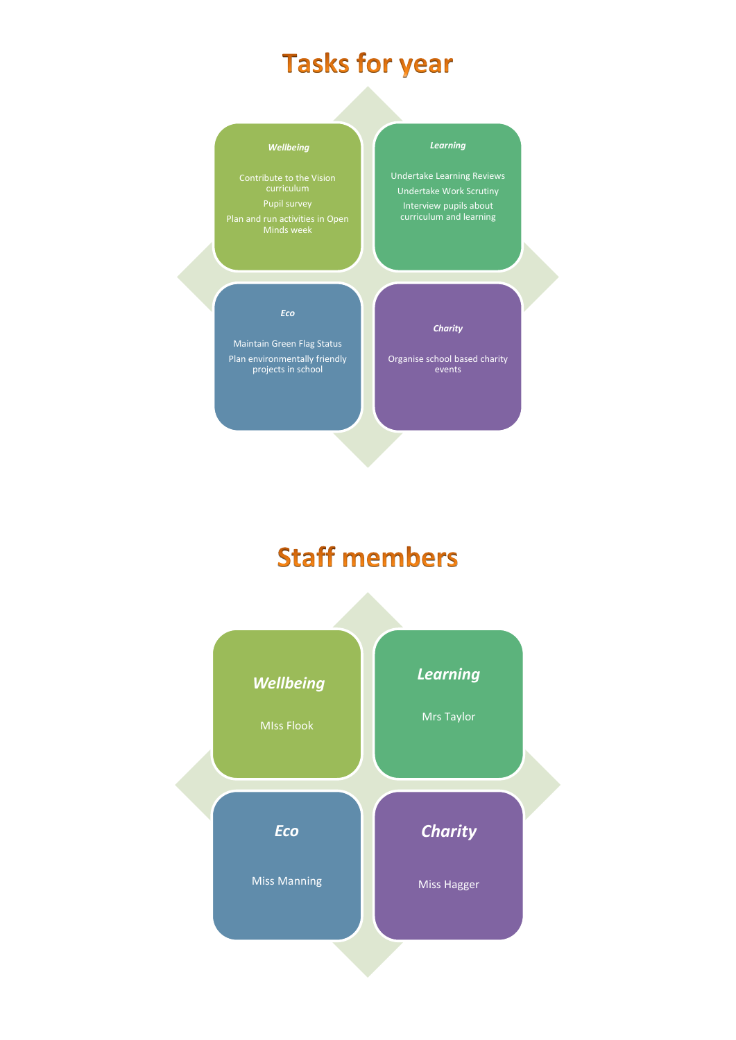## **Tasks for year**



# **Staff members**